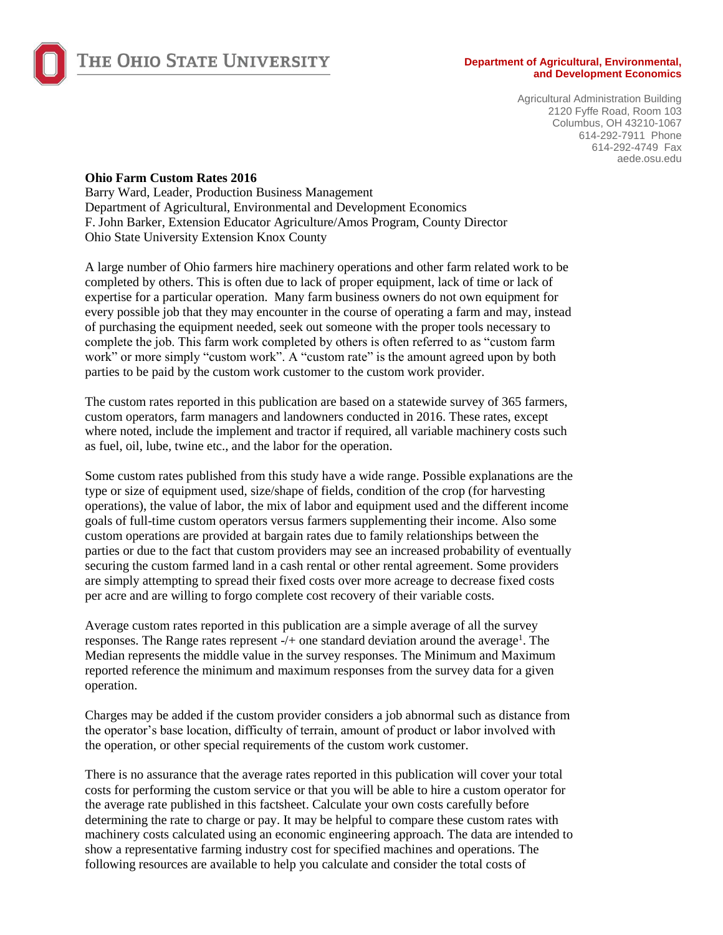

## THE OHIO STATE UNIVERSITY

#### **Department of Agricultural, Environmental, and Development Economics**

Agricultural Administration Building 2120 Fyffe Road, Room 103 Columbus, OH 43210-1067 614-292-7911 Phone 614-292-4749 Fax aede.osu.edu

#### **Ohio Farm Custom Rates 2016**

Barry Ward, Leader, Production Business Management Department of Agricultural, Environmental and Development Economics F. John Barker, Extension Educator Agriculture/Amos Program, County Director Ohio State University Extension Knox County

A large number of Ohio farmers hire machinery operations and other farm related work to be completed by others. This is often due to lack of proper equipment, lack of time or lack of expertise for a particular operation. Many farm business owners do not own equipment for every possible job that they may encounter in the course of operating a farm and may, instead of purchasing the equipment needed, seek out someone with the proper tools necessary to complete the job. This farm work completed by others is often referred to as "custom farm work" or more simply "custom work". A "custom rate" is the amount agreed upon by both parties to be paid by the custom work customer to the custom work provider.

The custom rates reported in this publication are based on a statewide survey of 365 farmers, custom operators, farm managers and landowners conducted in 2016. These rates, except where noted, include the implement and tractor if required, all variable machinery costs such as fuel, oil, lube, twine etc., and the labor for the operation.

Some custom rates published from this study have a wide range. Possible explanations are the type or size of equipment used, size/shape of fields, condition of the crop (for harvesting operations), the value of labor, the mix of labor and equipment used and the different income goals of full-time custom operators versus farmers supplementing their income. Also some custom operations are provided at bargain rates due to family relationships between the parties or due to the fact that custom providers may see an increased probability of eventually securing the custom farmed land in a cash rental or other rental agreement. Some providers are simply attempting to spread their fixed costs over more acreage to decrease fixed costs per acre and are willing to forgo complete cost recovery of their variable costs.

Average custom rates reported in this publication are a simple average of all the survey responses. The Range rates represent  $-/-$  one standard deviation around the average<sup>1</sup>. The Median represents the middle value in the survey responses. The Minimum and Maximum reported reference the minimum and maximum responses from the survey data for a given operation.

Charges may be added if the custom provider considers a job abnormal such as distance from the operator's base location, difficulty of terrain, amount of product or labor involved with the operation, or other special requirements of the custom work customer.

There is no assurance that the average rates reported in this publication will cover your total costs for performing the custom service or that you will be able to hire a custom operator for the average rate published in this factsheet. Calculate your own costs carefully before determining the rate to charge or pay. It may be helpful to compare these custom rates with machinery costs calculated using an economic engineering approach. The data are intended to show a representative farming industry cost for specified machines and operations. The following resources are available to help you calculate and consider the total costs of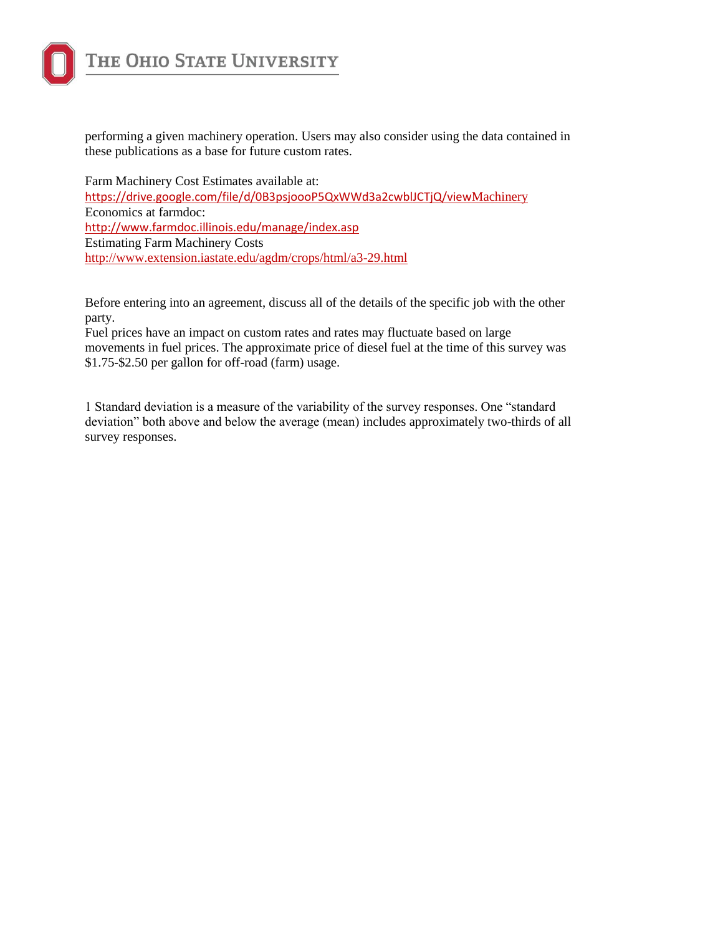

performing a given machinery operation. Users may also consider using the data contained in these publications as a base for future custom rates.

Farm Machinery Cost Estimates available at: [https://drive.google.com/file/d/0B3psjoooP5QxWWd3a2cwblJCTjQ/view](https://drive.google.com/file/d/0B3psjoooP5QxWWd3a2cwblJCTjQ/viewMachinery)Machinery Economics at farmdoc: <http://www.farmdoc.illinois.edu/manage/index.asp> Estimating Farm Machinery Costs <http://www.extension.iastate.edu/agdm/crops/html/a3-29.html>

Before entering into an agreement, discuss all of the details of the specific job with the other party.

Fuel prices have an impact on custom rates and rates may fluctuate based on large movements in fuel prices. The approximate price of diesel fuel at the time of this survey was \$1.75-\$2.50 per gallon for off-road (farm) usage.

1 Standard deviation is a measure of the variability of the survey responses. One "standard deviation" both above and below the average (mean) includes approximately two-thirds of all survey responses.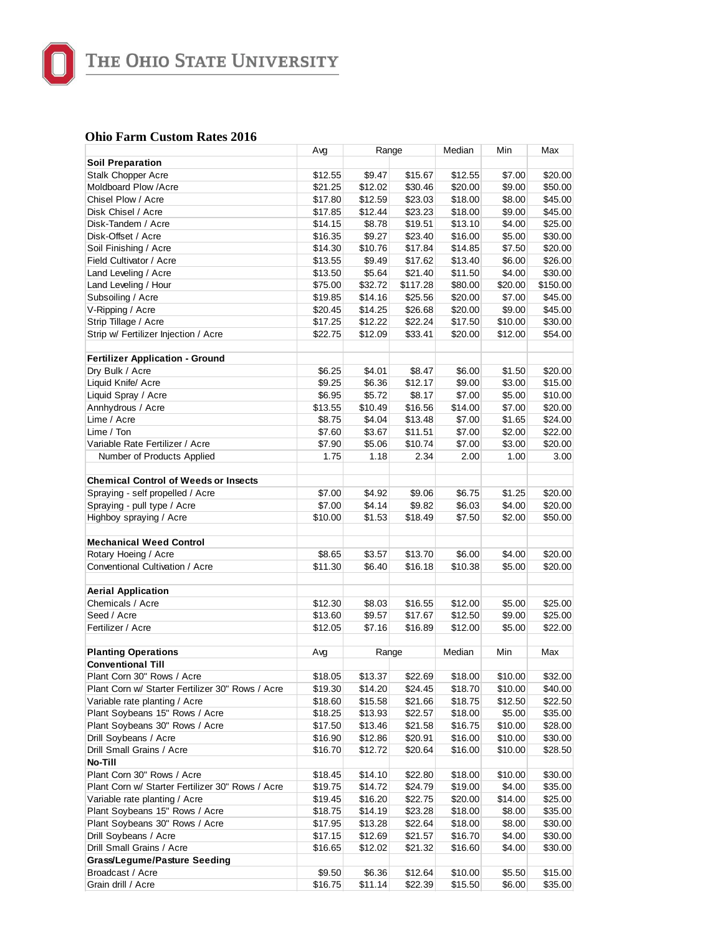

THE OHIO STATE UNIVERSITY

#### **Ohio Farm Custom Rates 2016**

|                                                  | Avg     | Range   |          | Median<br>Min |         | Max      |
|--------------------------------------------------|---------|---------|----------|---------------|---------|----------|
| <b>Soil Preparation</b>                          |         |         |          |               |         |          |
| Stalk Chopper Acre                               | \$12.55 | \$9.47  | \$15.67  | \$12.55       | \$7.00  | \$20.00  |
| Moldboard Plow / Acre                            | \$21.25 | \$12.02 | \$30.46  | \$20.00       | \$9.00  | \$50.00  |
| Chisel Plow / Acre                               | \$17.80 | \$12.59 | \$23.03  | \$18.00       | \$8.00  | \$45.00  |
| Disk Chisel / Acre                               | \$17.85 | \$12.44 | \$23.23  | \$18.00       | \$9.00  | \$45.00  |
| Disk-Tandem / Acre                               | \$14.15 | \$8.78  | \$19.51  | \$13.10       | \$4.00  | \$25.00  |
| Disk-Offset / Acre                               | \$16.35 | \$9.27  | \$23.40  | \$16.00       | \$5.00  | \$30.00  |
| Soil Finishing / Acre                            | \$14.30 | \$10.76 | \$17.84  | \$14.85       | \$7.50  | \$20.00  |
| Field Cultivator / Acre                          | \$13.55 | \$9.49  | \$17.62  | \$13.40       | \$6.00  | \$26.00  |
| Land Leveling / Acre                             | \$13.50 | \$5.64  | \$21.40  | \$11.50       | \$4.00  | \$30.00  |
| Land Leveling / Hour                             | \$75.00 | \$32.72 | \$117.28 | \$80.00       | \$20.00 | \$150.00 |
| Subsoiling / Acre                                | \$19.85 | \$14.16 | \$25.56  | \$20.00       | \$7.00  | \$45.00  |
| V-Ripping / Acre                                 | \$20.45 | \$14.25 | \$26.68  | \$20.00       | \$9.00  | \$45.00  |
| Strip Tillage / Acre                             | \$17.25 | \$12.22 | \$22.24  | \$17.50       | \$10.00 | \$30.00  |
| Strip w/ Fertilizer Injection / Acre             | \$22.75 | \$12.09 | \$33.41  | \$20.00       | \$12.00 | \$54.00  |
|                                                  |         |         |          |               |         |          |
| <b>Fertilizer Application - Ground</b>           |         |         |          |               |         |          |
| Dry Bulk / Acre                                  | \$6.25  | \$4.01  | \$8.47   | \$6.00        | \$1.50  | \$20.00  |
| Liquid Knife/ Acre                               | \$9.25  | \$6.36  | \$12.17  | \$9.00        | \$3.00  | \$15.00  |
| Liquid Spray / Acre                              | \$6.95  | \$5.72  | \$8.17   | \$7.00        | \$5.00  | \$10.00  |
| Annhydrous / Acre                                | \$13.55 | \$10.49 | \$16.56  | \$14.00       | \$7.00  | \$20.00  |
| Lime / Acre                                      | \$8.75  | \$4.04  | \$13.48  | \$7.00        | \$1.65  | \$24.00  |
| Lime / Ton                                       | \$7.60  | \$3.67  | \$11.51  | \$7.00        | \$2.00  | \$22.00  |
| Variable Rate Fertilizer / Acre                  | \$7.90  | \$5.06  | \$10.74  | \$7.00        | \$3.00  | \$20.00  |
| Number of Products Applied                       | 1.75    | 1.18    | 2.34     | 2.00          | 1.00    | 3.00     |
|                                                  |         |         |          |               |         |          |
| <b>Chemical Control of Weeds or Insects</b>      |         |         |          |               |         |          |
| Spraying - self propelled / Acre                 | \$7.00  | \$4.92  | \$9.06   | \$6.75        | \$1.25  | \$20.00  |
| Spraying - pull type / Acre                      | \$7.00  | \$4.14  | \$9.82   | \$6.03        | \$4.00  | \$20.00  |
| Highboy spraying / Acre                          | \$10.00 | \$1.53  | \$18.49  | \$7.50        | \$2.00  | \$50.00  |
| <b>Mechanical Weed Control</b>                   |         |         |          |               |         |          |
| Rotary Hoeing / Acre                             | \$8.65  | \$3.57  | \$13.70  | \$6.00        | \$4.00  | \$20.00  |
| Conventional Cultivation / Acre                  | \$11.30 | \$6.40  | \$16.18  | \$10.38       | \$5.00  | \$20.00  |
|                                                  |         |         |          |               |         |          |
| <b>Aerial Application</b>                        |         |         |          |               |         |          |
| Chemicals / Acre                                 | \$12.30 | \$8.03  | \$16.55  | \$12.00       | \$5.00  | \$25.00  |
| Seed / Acre                                      | \$13.60 | \$9.57  | \$17.67  | \$12.50       | \$9.00  | \$25.00  |
| Fertilizer / Acre                                | \$12.05 | \$7.16  | \$16.89  | \$12.00       | \$5.00  | \$22.00  |
|                                                  |         |         |          |               |         |          |
| <b>Planting Operations</b>                       | Avg     | Range   |          | Median        | Min     | Max      |
| <b>Conventional Till</b>                         |         |         |          |               |         |          |
| Plant Corn 30" Rows / Acre                       | \$18.05 | \$13.37 | \$22.69  | \$18.00       | \$10.00 | \$32.00  |
| Plant Corn w/ Starter Fertilizer 30" Rows / Acre | \$19.30 | \$14.20 | \$24.45  | \$18.70       | \$10.00 | \$40.00  |
| Variable rate planting / Acre                    | \$18.60 | \$15.58 | \$21.66  | \$18.75       | \$12.50 | \$22.50  |
| Plant Soybeans 15" Rows / Acre                   | \$18.25 | \$13.93 | \$22.57  | \$18.00       | \$5.00  | \$35.00  |
| Plant Soybeans 30" Rows / Acre                   | \$17.50 | \$13.46 | \$21.58  | \$16.75       | \$10.00 | \$28.00  |
| Drill Soybeans / Acre                            | \$16.90 | \$12.86 | \$20.91  | \$16.00       | \$10.00 | \$30.00  |
| Drill Small Grains / Acre                        | \$16.70 | \$12.72 | \$20.64  | \$16.00       | \$10.00 | \$28.50  |
| No-Till                                          |         |         |          |               |         |          |
| Plant Corn 30" Rows / Acre                       | \$18.45 | \$14.10 | \$22.80  | \$18.00       | \$10.00 | \$30.00  |
| Plant Corn w/ Starter Fertilizer 30" Rows / Acre | \$19.75 | \$14.72 | \$24.79  | \$19.00       | \$4.00  | \$35.00  |
| Variable rate planting / Acre                    | \$19.45 | \$16.20 | \$22.75  | \$20.00       | \$14.00 | \$25.00  |
| Plant Soybeans 15" Rows / Acre                   | \$18.75 | \$14.19 | \$23.28  | \$18.00       | \$8.00  | \$35.00  |
| Plant Soybeans 30" Rows / Acre                   | \$17.95 | \$13.28 | \$22.64  | \$18.00       | \$8.00  | \$30.00  |
| Drill Soybeans / Acre                            | \$17.15 | \$12.69 | \$21.57  | \$16.70       | \$4.00  | \$30.00  |
| Drill Small Grains / Acre                        | \$16.65 | \$12.02 | \$21.32  | \$16.60       | \$4.00  | \$30.00  |
| <b>Grass/Legume/Pasture Seeding</b>              |         |         |          |               |         |          |
| Broadcast / Acre                                 | \$9.50  | \$6.36  | \$12.64  | \$10.00       | \$5.50  | \$15.00  |
| Grain drill / Acre                               | \$16.75 | \$11.14 | \$22.39  | \$15.50       | \$6.00  | \$35.00  |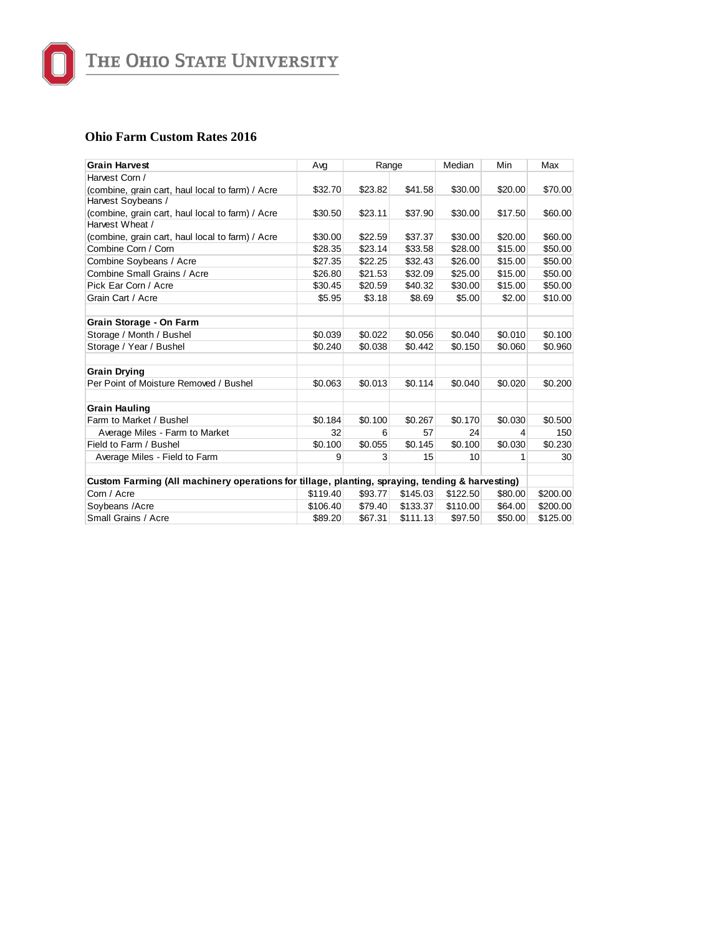

#### **Ohio Farm Custom Rates 2016**

| <b>Grain Harvest</b>                                                                            | Avg      | Range   |          | Median   | Min     | Max      |
|-------------------------------------------------------------------------------------------------|----------|---------|----------|----------|---------|----------|
| Harvest Corn /                                                                                  |          |         |          |          |         |          |
| (combine, grain cart, haul local to farm) / Acre                                                | \$32.70  | \$23.82 | \$41.58  | \$30.00  | \$20.00 | \$70.00  |
| Harvest Soybeans /                                                                              |          |         |          |          |         |          |
| (combine, grain cart, haul local to farm) / Acre                                                | \$30.50  | \$23.11 | \$37.90  | \$30.00  | \$17.50 | \$60.00  |
| Harvest Wheat /                                                                                 |          |         |          |          |         |          |
| (combine, grain cart, haul local to farm) / Acre                                                | \$30.00  | \$22.59 | \$37.37  | \$30.00  | \$20.00 | \$60.00  |
| Combine Corn / Corn                                                                             | \$28.35  | \$23.14 | \$33.58  | \$28.00  | \$15.00 | \$50.00  |
| Combine Soybeans / Acre                                                                         | \$27.35  | \$22.25 | \$32.43  | \$26.00  | \$15.00 | \$50.00  |
| Combine Small Grains / Acre                                                                     | \$26.80  | \$21.53 | \$32.09  | \$25.00  | \$15.00 | \$50.00  |
| Pick Ear Corn / Acre                                                                            | \$30.45  | \$20.59 | \$40.32  | \$30.00  | \$15.00 | \$50.00  |
| Grain Cart / Acre                                                                               | \$5.95   | \$3.18  | \$8.69   | \$5.00   | \$2.00  | \$10.00  |
| Grain Storage - On Farm                                                                         |          |         |          |          |         |          |
| Storage / Month / Bushel                                                                        | \$0.039  | \$0.022 | \$0.056  | \$0.040  | \$0.010 | \$0.100  |
| Storage / Year / Bushel                                                                         | \$0.240  | \$0.038 | \$0.442  | \$0.150  | \$0.060 | \$0.960  |
| <b>Grain Drying</b>                                                                             |          |         |          |          |         |          |
| Per Point of Moisture Removed / Bushel                                                          | \$0.063  | \$0.013 | \$0.114  | \$0.040  | \$0.020 | \$0.200  |
| <b>Grain Hauling</b>                                                                            |          |         |          |          |         |          |
| Farm to Market / Bushel                                                                         | \$0.184  | \$0.100 | \$0.267  | \$0.170  | \$0.030 | \$0.500  |
| Average Miles - Farm to Market                                                                  | 32       | 6       | 57       | 24       | 4       | 150      |
| Field to Farm / Bushel                                                                          | \$0.100  | \$0.055 | \$0.145  | \$0.100  | \$0.030 | \$0.230  |
| Average Miles - Field to Farm                                                                   | 9        | 3       | 15       | 10       | 1       | 30       |
| Custom Farming (All machinery operations for tillage, planting, spraying, tending & harvesting) |          |         |          |          |         |          |
| Corn / Acre                                                                                     | \$119.40 | \$93.77 | \$145.03 | \$122.50 | \$80.00 | \$200.00 |
| Soybeans /Acre                                                                                  | \$106.40 | \$79.40 | \$133.37 | \$110.00 | \$64.00 | \$200.00 |
| Small Grains / Acre                                                                             | \$89.20  | \$67.31 | \$111.13 | \$97.50  | \$50.00 | \$125.00 |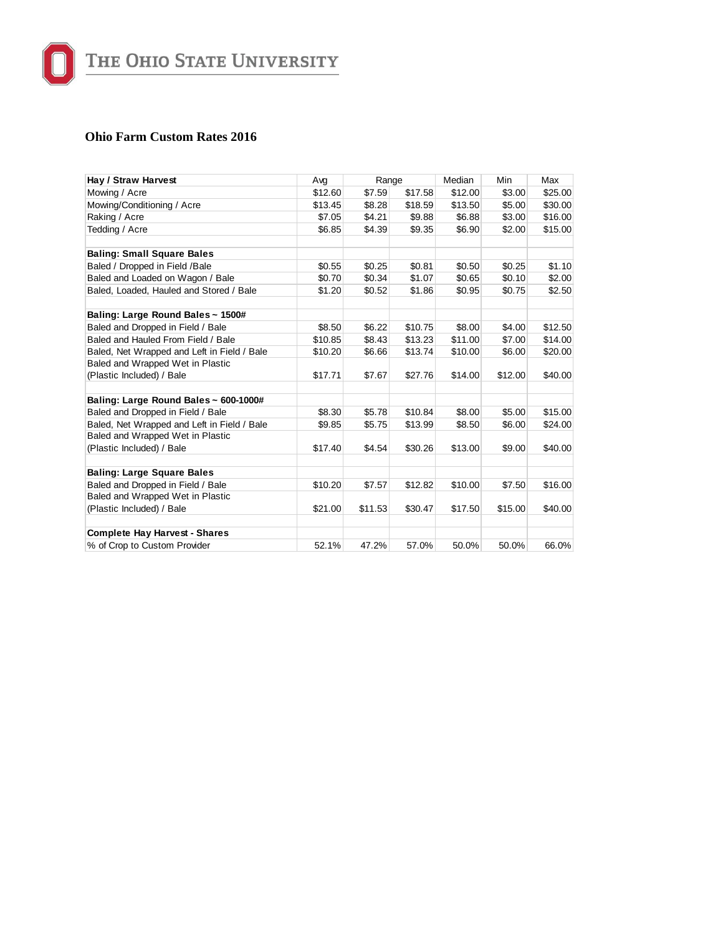

#### **Ohio Farm Custom Rates 2016**

| Hay / Straw Harvest                         | Ava     | Range   |         | Median  | Min     | Max     |
|---------------------------------------------|---------|---------|---------|---------|---------|---------|
| Mowing / Acre                               | \$12.60 | \$7.59  | \$17.58 | \$12.00 | \$3.00  | \$25.00 |
| Mowing/Conditioning / Acre                  | \$13.45 | \$8.28  | \$18.59 | \$13.50 | \$5.00  | \$30.00 |
| Raking / Acre                               | \$7.05  | \$4.21  | \$9.88  | \$6.88  | \$3.00  | \$16.00 |
| Tedding / Acre                              | \$6.85  | \$4.39  | \$9.35  | \$6.90  | \$2.00  | \$15.00 |
| <b>Baling: Small Square Bales</b>           |         |         |         |         |         |         |
| Baled / Dropped in Field /Bale              | \$0.55  | \$0.25  | \$0.81  | \$0.50  | \$0.25  | \$1.10  |
| Baled and Loaded on Wagon / Bale            | \$0.70  | \$0.34  | \$1.07  | \$0.65  | \$0.10  | \$2.00  |
| Baled, Loaded, Hauled and Stored / Bale     | \$1.20  | \$0.52  | \$1.86  | \$0.95  | \$0.75  | \$2.50  |
| Baling: Large Round Bales ~ 1500#           |         |         |         |         |         |         |
| Baled and Dropped in Field / Bale           | \$8.50  | \$6.22  | \$10.75 | \$8.00  | \$4.00  | \$12.50 |
| Baled and Hauled From Field / Bale          | \$10.85 | \$8.43  | \$13.23 | \$11.00 | \$7.00  | \$14.00 |
| Baled, Net Wrapped and Left in Field / Bale | \$10.20 | \$6.66  | \$13.74 | \$10.00 | \$6.00  | \$20.00 |
| Baled and Wrapped Wet in Plastic            |         |         |         |         |         |         |
| (Plastic Included) / Bale                   | \$17.71 | \$7.67  | \$27.76 | \$14.00 | \$12.00 | \$40.00 |
| Baling: Large Round Bales ~ 600-1000#       |         |         |         |         |         |         |
| Baled and Dropped in Field / Bale           | \$8.30  | \$5.78  | \$10.84 | \$8.00  | \$5.00  | \$15.00 |
| Baled, Net Wrapped and Left in Field / Bale | \$9.85  | \$5.75  | \$13.99 | \$8.50  | \$6.00  | \$24.00 |
| Baled and Wrapped Wet in Plastic            |         |         |         |         |         |         |
| (Plastic Included) / Bale                   | \$17.40 | \$4.54  | \$30.26 | \$13.00 | \$9.00  | \$40.00 |
| <b>Baling: Large Square Bales</b>           |         |         |         |         |         |         |
| Baled and Dropped in Field / Bale           | \$10.20 | \$7.57  | \$12.82 | \$10.00 | \$7.50  | \$16.00 |
| Baled and Wrapped Wet in Plastic            |         |         |         |         |         |         |
| (Plastic Included) / Bale                   | \$21.00 | \$11.53 | \$30.47 | \$17.50 | \$15.00 | \$40.00 |
| <b>Complete Hay Harvest - Shares</b>        |         |         |         |         |         |         |
| % of Crop to Custom Provider                | 52.1%   | 47.2%   | 57.0%   | 50.0%   | 50.0%   | 66.0%   |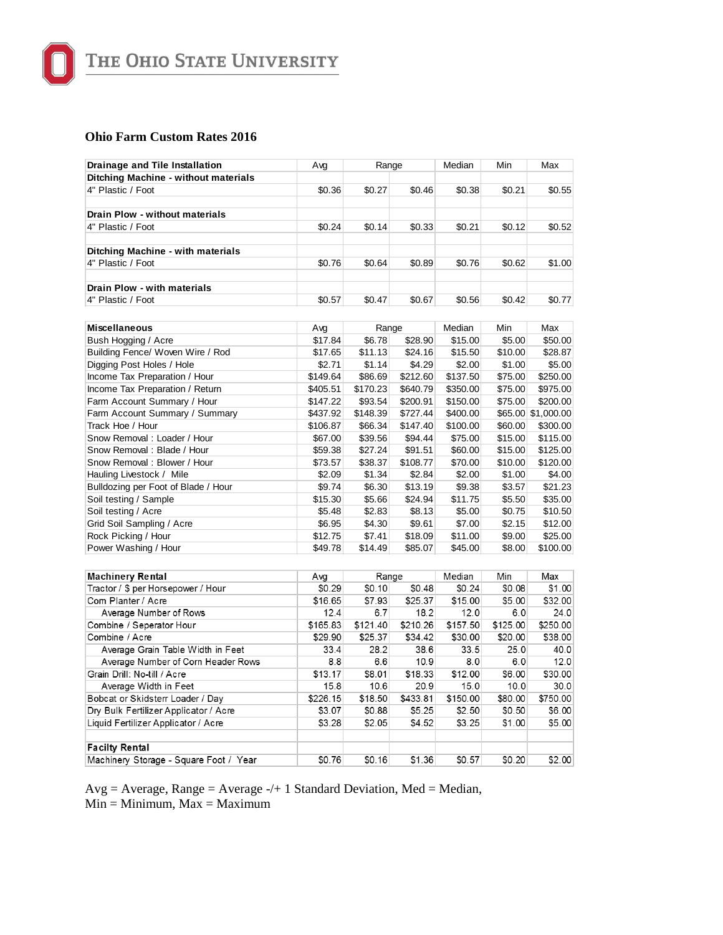

THE OHIO STATE UNIVERSITY

### **Ohio Farm Custom Rates 2016**

| Drainage and Tile Installation                                | Avg           | Range    |          | Median<br>Min | Max      |                    |
|---------------------------------------------------------------|---------------|----------|----------|---------------|----------|--------------------|
| Ditching Machine - without materials                          |               |          |          |               |          |                    |
| 4" Plastic / Foot                                             | \$0.36        | \$0.27   | \$0.46   | \$0.38        | \$0.21   | \$0.55             |
|                                                               |               |          |          |               |          |                    |
| Drain Plow - without materials                                |               |          |          |               |          |                    |
| 4" Plastic / Foot                                             | \$0.24        | \$0.14   | \$0.33   | \$0.21        | \$0.12   | \$0.52             |
|                                                               |               |          |          |               |          |                    |
| Ditching Machine - with materials                             |               |          |          |               |          |                    |
| 4" Plastic / Foot                                             | \$0.76        | \$0.64   | \$0.89   | \$0.76        | \$0.62   | \$1.00             |
|                                                               |               |          |          |               |          |                    |
| Drain Plow - with materials                                   |               |          |          |               |          |                    |
| 4" Plastic / Foot                                             | \$0.57        | \$0.47   | \$0.67   | \$0.56        | \$0.42   | \$0.77             |
|                                                               |               |          |          |               |          |                    |
| <b>Miscellaneous</b>                                          | Avg           | Range    |          | Median        | Min      | Max                |
| Bush Hogging / Acre                                           | \$17.84       | \$6.78   | \$28.90  | \$15.00       | \$5.00   | \$50.00            |
| Building Fence/ Woven Wire / Rod                              | \$17.65       | \$11.13  | \$24.16  | \$15.50       | \$10.00  | \$28.87            |
| Digging Post Holes / Hole                                     | \$2.71        | \$1.14   | \$4.29   | \$2.00        | \$1.00   | \$5.00             |
| Income Tax Preparation / Hour                                 | \$149.64      | \$86.69  | \$212.60 | \$137.50      | \$75.00  | \$250.00           |
| Income Tax Preparation / Return                               | \$405.51      | \$170.23 | \$640.79 | \$350.00      | \$75.00  | \$975.00           |
| Farm Account Summary / Hour                                   | \$147.22      | \$93.54  | \$200.91 | \$150.00      | \$75.00  | \$200.00           |
| Farm Account Summary / Summary                                | \$437.92      | \$148.39 | \$727.44 | \$400.00      |          | \$65.00 \$1,000.00 |
| Track Hoe / Hour                                              | \$106.87      | \$66.34  | \$147.40 | \$100.00      | \$60.00  | \$300.00           |
| Snow Removal: Loader / Hour                                   | \$67.00       | \$39.56  | \$94.44  | \$75.00       | \$15.00  | \$115.00           |
| Snow Removal: Blade / Hour                                    | \$59.38       | \$27.24  | \$91.51  | \$60.00       | \$15.00  | \$125.00           |
| Snow Removal: Blower / Hour                                   | \$73.57       | \$38.37  | \$108.77 | \$70.00       | \$10.00  | \$120.00           |
| Hauling Livestock / Mile                                      | \$2.09        | \$1.34   | \$2.84   | \$2.00        | \$1.00   | \$4.00             |
| Bulldozing per Foot of Blade / Hour                           | \$9.74        | \$6.30   | \$13.19  | \$9.38        | \$3.57   | \$21.23            |
| Soil testing / Sample                                         | \$15.30       | \$5.66   | \$24.94  | \$11.75       | \$5.50   | \$35.00            |
| Soil testing / Acre                                           | \$5.48        | \$2.83   | \$8.13   | \$5.00        | \$0.75   | \$10.50            |
| Grid Soil Sampling / Acre                                     | \$6.95        | \$4.30   | \$9.61   | \$7.00        | \$2.15   | \$12.00            |
| Rock Picking / Hour                                           | \$12.75       | \$7.41   | \$18.09  | \$11.00       | \$9.00   | \$25.00            |
| Power Washing / Hour                                          | \$49.78       | \$14.49  | \$85.07  | \$45.00       | \$8.00   | \$100.00           |
|                                                               |               |          |          |               |          |                    |
|                                                               |               | Range    |          | Median        | Min      | Max                |
| <b>Machinery Rental</b><br>Tractor / \$ per Horsepower / Hour | Avq<br>\$0.29 | \$0.10   | \$0.48   | \$0.24        | \$0.08   | \$1.00             |
| Com Planter / Acre                                            | \$16.65       | \$7.93   | \$25.37  | \$15.00       | \$5.00   | \$32.00            |
| Average Number of Rows                                        | 12.4          | 6.7      | 18.2     | 12.0          | 6.0      | 24.0               |
| Combine / Seperator Hour                                      | \$165.83      | \$121.40 | \$210.26 | \$157.50      | \$125.00 | \$250.00           |
| Combine / Acre                                                | \$29.90       | \$25.37  | \$34.42  | \$30.00       | \$20.00  | \$38.00            |
| Average Grain Table Width in Feet                             | 33.4          | 28.2     | 38.6     | 33.5          | 25.0     | 40.0               |
| Average Number of Corn Header Rows                            | 8.8           | 6.6      | 10.9     | 8.0           | 6.0      | 12.0               |
| Grain Drill: No-till / Acre                                   | \$13.17       | \$8.01   | \$18.33  | \$12.00       | \$6.00   | \$30.00            |
| Average Width in Feet                                         | 15.8          | 10.6     | 20.9     | 15.0          | 10.0     | 30.0               |
| Bobcat or Skidsterr Loader / Day                              | \$226.15      | \$18.50  | \$433.81 | \$150.00      | \$80.00  | \$750.00           |
| Dry Bulk Fertilizer Applicator / Acre                         | \$3.07        | \$0.88   | \$5.25   | \$2.50        | \$0.50   | \$6.00             |
|                                                               | \$3.28        | \$2.05   | \$4.52   | \$3.25        | \$1.00   | \$5.00             |
| Liquid Fertilizer Applicator / Acre                           |               |          |          |               |          |                    |
| <b>Facilty Rental</b>                                         |               |          |          |               |          |                    |
| Machinery Storage - Square Foot / Year                        | \$0.76        | \$0.16   | \$1.36   | \$0.57        | \$0.20   | \$2.00             |
|                                                               |               |          |          |               |          |                    |

 $Avg = Average$ , Range = Average -/+ 1 Standard Deviation, Med = Median,

 $Min = Minimum, Max = Maximum$